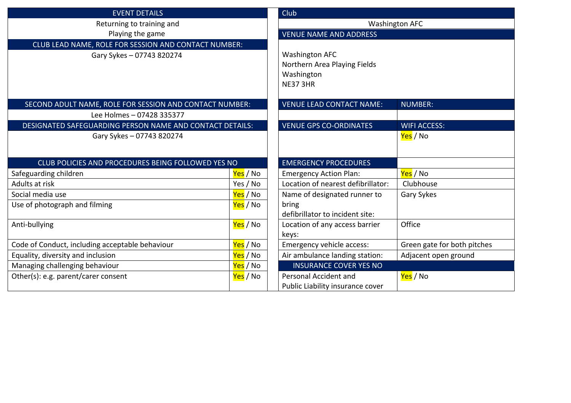| <b>EVENT DETAILS</b>                                     |                       | Club                               |                             |  |
|----------------------------------------------------------|-----------------------|------------------------------------|-----------------------------|--|
| Returning to training and                                |                       | <b>Washington AFC</b>              |                             |  |
| Playing the game                                         |                       | <b>VENUE NAME AND ADDRESS</b>      |                             |  |
| CLUB LEAD NAME, ROLE FOR SESSION AND CONTACT NUMBER:     |                       |                                    |                             |  |
| Gary Sykes - 07743 820274                                |                       | <b>Washington AFC</b>              |                             |  |
|                                                          |                       | Northern Area Playing Fields       |                             |  |
|                                                          |                       | Washington                         |                             |  |
|                                                          |                       | <b>NE37 3HR</b>                    |                             |  |
|                                                          |                       |                                    |                             |  |
| SECOND ADULT NAME, ROLE FOR SESSION AND CONTACT NUMBER:  |                       | <b>VENUE LEAD CONTACT NAME:</b>    | <b>NUMBER:</b>              |  |
| Lee Holmes - 07428 335377                                |                       |                                    |                             |  |
| DESIGNATED SAFEGUARDING PERSON NAME AND CONTACT DETAILS: |                       | <b>VENUE GPS CO-ORDINATES</b>      | <b>WIFI ACCESS:</b>         |  |
| Gary Sykes - 07743 820274                                |                       |                                    | Yes / No                    |  |
|                                                          |                       |                                    |                             |  |
| CLUB POLICIES AND PROCEDURES BEING FOLLOWED YES NO       |                       | <b>EMERGENCY PROCEDURES</b>        |                             |  |
| Safeguarding children                                    | <mark>Yes</mark> / No | <b>Emergency Action Plan:</b>      | Yes / No                    |  |
| Adults at risk                                           | Yes / No              | Location of nearest defibrillator: | Clubhouse                   |  |
| Social media use                                         | Yes / No              | Name of designated runner to       | Gary Sykes                  |  |
| Use of photograph and filming                            | Yes / No              | bring                              |                             |  |
|                                                          |                       | defibrillator to incident site:    |                             |  |
| Anti-bullying                                            | <mark>Yes</mark> / No | Location of any access barrier     | Office                      |  |
|                                                          |                       | keys:                              |                             |  |
| Code of Conduct, including acceptable behaviour          | Yes / No              | Emergency vehicle access:          | Green gate for both pitches |  |
| Equality, diversity and inclusion                        | Yes / No              | Air ambulance landing station:     | Adjacent open ground        |  |
| Managing challenging behaviour                           | Yes / No              | <b>INSURANCE COVER YES NO</b>      |                             |  |
| Other(s): e.g. parent/carer consent                      | <mark>Yes</mark> / No | Personal Accident and              | <mark>Yes</mark> / No       |  |
|                                                          |                       | Public Liability insurance cover   |                             |  |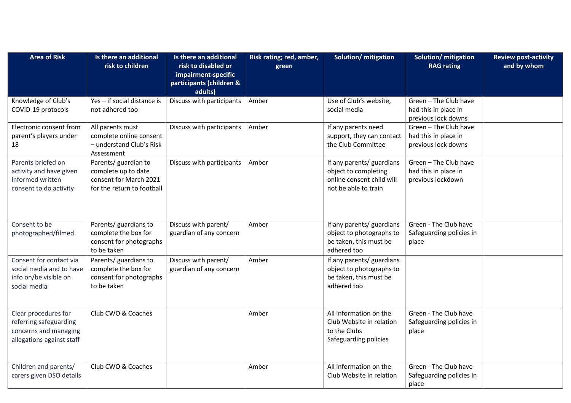| <b>Area of Risk</b>                                                                                  | Is there an additional<br>risk to children                                                          | Is there an additional<br>risk to disabled or<br>impairment-specific<br>participants (children &<br>adults) | Risk rating; red, amber,<br>green | Solution/ mitigation                                                                                   | Solution/ mitigation<br><b>RAG rating</b>                            | <b>Review post-activity</b><br>and by whom |
|------------------------------------------------------------------------------------------------------|-----------------------------------------------------------------------------------------------------|-------------------------------------------------------------------------------------------------------------|-----------------------------------|--------------------------------------------------------------------------------------------------------|----------------------------------------------------------------------|--------------------------------------------|
| Knowledge of Club's<br>COVID-19 protocols                                                            | Yes - if social distance is<br>not adhered too                                                      | Discuss with participants                                                                                   | Amber                             | Use of Club's website,<br>social media                                                                 | Green - The Club have<br>had this in place in<br>previous lock downs |                                            |
| Electronic consent from<br>parent's players under<br>18                                              | All parents must<br>complete online consent<br>- understand Club's Risk<br>Assessment               | Discuss with participants                                                                                   | Amber                             | If any parents need<br>support, they can contact<br>the Club Committee                                 | Green - The Club have<br>had this in place in<br>previous lock downs |                                            |
| Parents briefed on<br>activity and have given<br>informed written<br>consent to do activity          | Parents/ guardian to<br>complete up to date<br>consent for March 2021<br>for the return to football | Discuss with participants                                                                                   | Amber                             | If any parents/ guardians<br>object to completing<br>online consent child will<br>not be able to train | Green - The Club have<br>had this in place in<br>previous lockdown   |                                            |
| Consent to be<br>photographed/filmed                                                                 | Parents/ guardians to<br>complete the box for<br>consent for photographs<br>to be taken             | Discuss with parent/<br>guardian of any concern                                                             | Amber                             | If any parents/ guardians<br>object to photographs to<br>be taken, this must be<br>adhered too         | Green - The Club have<br>Safeguarding policies in<br>place           |                                            |
| Consent for contact via<br>social media and to have<br>info on/be visible on<br>social media         | Parents/ guardians to<br>complete the box for<br>consent for photographs<br>to be taken             | Discuss with parent/<br>guardian of any concern                                                             | Amber                             | If any parents/ guardians<br>object to photographs to<br>be taken, this must be<br>adhered too         |                                                                      |                                            |
| Clear procedures for<br>referring safeguarding<br>concerns and managing<br>allegations against staff | Club CWO & Coaches                                                                                  |                                                                                                             | Amber                             | All information on the<br>Club Website in relation<br>to the Clubs<br>Safeguarding policies            | Green - The Club have<br>Safeguarding policies in<br>place           |                                            |
| Children and parents/<br>carers given DSO details                                                    | Club CWO & Coaches                                                                                  |                                                                                                             | Amber                             | All information on the<br>Club Website in relation                                                     | Green - The Club have<br>Safeguarding policies in<br>place           |                                            |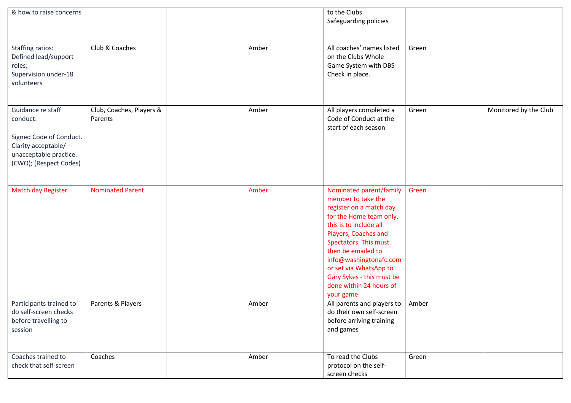| & how to raise concerns                                                                                                             |                                     |       | to the Clubs<br>Safeguarding policies                                                                                                                                                                                                                                                                                         |       |                       |
|-------------------------------------------------------------------------------------------------------------------------------------|-------------------------------------|-------|-------------------------------------------------------------------------------------------------------------------------------------------------------------------------------------------------------------------------------------------------------------------------------------------------------------------------------|-------|-----------------------|
| <b>Staffing ratios:</b><br>Defined lead/support<br>roles;<br>Supervision under-18<br>volunteers                                     | Club & Coaches                      | Amber | All coaches' names listed<br>on the Clubs Whole<br>Game System with DBS<br>Check in place.                                                                                                                                                                                                                                    | Green |                       |
| Guidance re staff<br>conduct:<br>Signed Code of Conduct.<br>Clarity acceptable/<br>unacceptable practice.<br>(CWO); (Respect Codes) | Club, Coaches, Players &<br>Parents | Amber | All players completed a<br>Code of Conduct at the<br>start of each season                                                                                                                                                                                                                                                     | Green | Monitored by the Club |
| <b>Match day Register</b>                                                                                                           | <b>Nominated Parent</b>             | Amber | Nominated parent/family<br>member to take the<br>register on a match day<br>for the Home team only,<br>this is to include all<br>Players, Coaches and<br>Spectators. This must<br>then be emailed to<br>info@washingtonafc.com<br>or set via WhatsApp to<br>Gary Sykes - this must be<br>done within 24 hours of<br>your game | Green |                       |
| Participants trained to<br>do self-screen checks<br>before travelling to<br>session                                                 | Parents & Players                   | Amber | All parents and players to<br>do their own self-screen<br>before arriving training<br>and games                                                                                                                                                                                                                               | Amber |                       |
| Coaches trained to<br>check that self-screen                                                                                        | Coaches                             | Amber | To read the Clubs<br>protocol on the self-<br>screen checks                                                                                                                                                                                                                                                                   | Green |                       |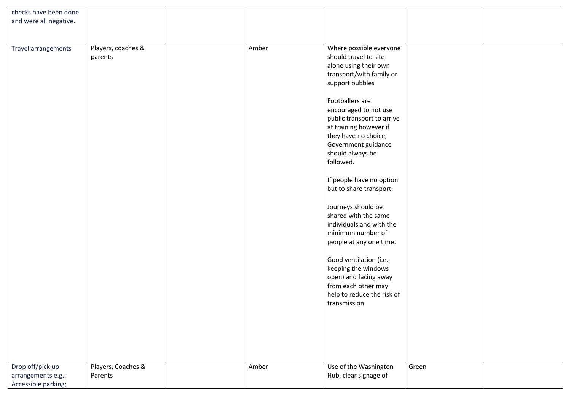| checks have been done                     |                               |       |                                                                                                                                                                                                                                                                                                                                                                                                                                                                                                                                                                                                                                              |       |  |
|-------------------------------------------|-------------------------------|-------|----------------------------------------------------------------------------------------------------------------------------------------------------------------------------------------------------------------------------------------------------------------------------------------------------------------------------------------------------------------------------------------------------------------------------------------------------------------------------------------------------------------------------------------------------------------------------------------------------------------------------------------------|-------|--|
| and were all negative.                    |                               |       |                                                                                                                                                                                                                                                                                                                                                                                                                                                                                                                                                                                                                                              |       |  |
|                                           |                               |       |                                                                                                                                                                                                                                                                                                                                                                                                                                                                                                                                                                                                                                              |       |  |
|                                           |                               |       |                                                                                                                                                                                                                                                                                                                                                                                                                                                                                                                                                                                                                                              |       |  |
| Travel arrangements                       | Players, coaches &<br>parents | Amber | Where possible everyone<br>should travel to site<br>alone using their own<br>transport/with family or<br>support bubbles<br>Footballers are<br>encouraged to not use<br>public transport to arrive<br>at training however if<br>they have no choice,<br>Government guidance<br>should always be<br>followed.<br>If people have no option<br>but to share transport:<br>Journeys should be<br>shared with the same<br>individuals and with the<br>minimum number of<br>people at any one time.<br>Good ventilation (i.e.<br>keeping the windows<br>open) and facing away<br>from each other may<br>help to reduce the risk of<br>transmission |       |  |
|                                           |                               |       |                                                                                                                                                                                                                                                                                                                                                                                                                                                                                                                                                                                                                                              |       |  |
|                                           |                               |       |                                                                                                                                                                                                                                                                                                                                                                                                                                                                                                                                                                                                                                              |       |  |
|                                           |                               |       |                                                                                                                                                                                                                                                                                                                                                                                                                                                                                                                                                                                                                                              |       |  |
| Drop off/pick up                          | Players, Coaches &            | Amber | Use of the Washington                                                                                                                                                                                                                                                                                                                                                                                                                                                                                                                                                                                                                        | Green |  |
| arrangements e.g.:<br>Accessible parking; | Parents                       |       | Hub, clear signage of                                                                                                                                                                                                                                                                                                                                                                                                                                                                                                                                                                                                                        |       |  |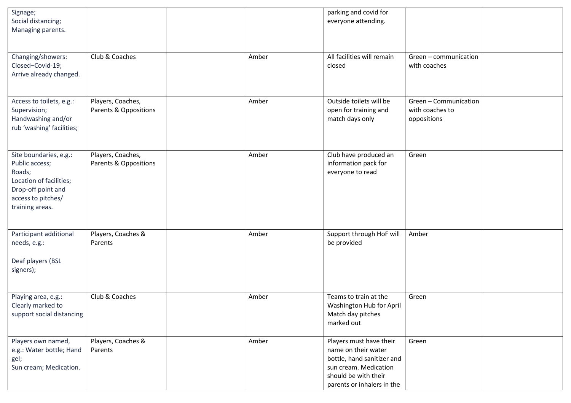| Signage;<br>Social distancing;<br>Managing parents.                                                                                          |                                            |       | parking and covid for<br>everyone attending.                                                                                                                |                                                         |  |
|----------------------------------------------------------------------------------------------------------------------------------------------|--------------------------------------------|-------|-------------------------------------------------------------------------------------------------------------------------------------------------------------|---------------------------------------------------------|--|
| Changing/showers:<br>Closed-Covid-19;<br>Arrive already changed.                                                                             | Club & Coaches                             | Amber | All facilities will remain<br>closed                                                                                                                        | Green - communication<br>with coaches                   |  |
| Access to toilets, e.g.:<br>Supervision;<br>Handwashing and/or<br>rub 'washing' facilities;                                                  | Players, Coaches,<br>Parents & Oppositions | Amber | Outside toilets will be<br>open for training and<br>match days only                                                                                         | Green - Communication<br>with coaches to<br>oppositions |  |
| Site boundaries, e.g.:<br>Public access;<br>Roads;<br>Location of facilities;<br>Drop-off point and<br>access to pitches/<br>training areas. | Players, Coaches,<br>Parents & Oppositions | Amber | Club have produced an<br>information pack for<br>everyone to read                                                                                           | Green                                                   |  |
| Participant additional<br>needs, e.g.:<br>Deaf players (BSL<br>signers);                                                                     | Players, Coaches &<br>Parents              | Amber | Support through HoF will<br>be provided                                                                                                                     | Amber                                                   |  |
| Playing area, e.g.:<br>Clearly marked to<br>support social distancing                                                                        | Club & Coaches                             | Amber | Teams to train at the<br>Washington Hub for April<br>Match day pitches<br>marked out                                                                        | Green                                                   |  |
| Players own named,<br>e.g.: Water bottle; Hand<br>gel;<br>Sun cream; Medication.                                                             | Players, Coaches &<br>Parents              | Amber | Players must have their<br>name on their water<br>bottle, hand sanitizer and<br>sun cream. Medication<br>should be with their<br>parents or inhalers in the | Green                                                   |  |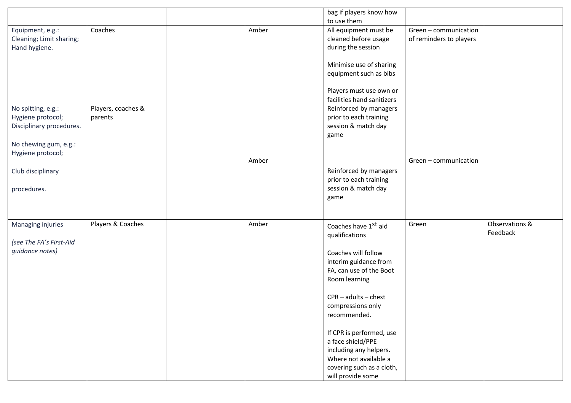|                          |                    |       | bag if players know how    |                         |                |
|--------------------------|--------------------|-------|----------------------------|-------------------------|----------------|
|                          |                    |       | to use them                |                         |                |
| Equipment, e.g.:         | Coaches            | Amber | All equipment must be      | Green - communication   |                |
| Cleaning; Limit sharing; |                    |       | cleaned before usage       | of reminders to players |                |
| Hand hygiene.            |                    |       | during the session         |                         |                |
|                          |                    |       |                            |                         |                |
|                          |                    |       | Minimise use of sharing    |                         |                |
|                          |                    |       | equipment such as bibs     |                         |                |
|                          |                    |       |                            |                         |                |
|                          |                    |       | Players must use own or    |                         |                |
|                          |                    |       | facilities hand sanitizers |                         |                |
| No spitting, e.g.:       | Players, coaches & |       | Reinforced by managers     |                         |                |
| Hygiene protocol;        | parents            |       | prior to each training     |                         |                |
| Disciplinary procedures. |                    |       | session & match day        |                         |                |
|                          |                    |       | game                       |                         |                |
| No chewing gum, e.g.:    |                    |       |                            |                         |                |
| Hygiene protocol;        |                    |       |                            |                         |                |
|                          |                    | Amber |                            | Green - communication   |                |
| Club disciplinary        |                    |       | Reinforced by managers     |                         |                |
|                          |                    |       | prior to each training     |                         |                |
| procedures.              |                    |       | session & match day        |                         |                |
|                          |                    |       | game                       |                         |                |
|                          |                    |       |                            |                         |                |
|                          |                    |       |                            |                         |                |
| Managing injuries        | Players & Coaches  | Amber | Coaches have 1st aid       | Green                   | Observations & |
|                          |                    |       | qualifications             |                         | Feedback       |
| (see The FA's First-Aid  |                    |       |                            |                         |                |
| guidance notes)          |                    |       | Coaches will follow        |                         |                |
|                          |                    |       | interim guidance from      |                         |                |
|                          |                    |       | FA, can use of the Boot    |                         |                |
|                          |                    |       | Room learning              |                         |                |
|                          |                    |       |                            |                         |                |
|                          |                    |       | $CPR - adults - chest$     |                         |                |
|                          |                    |       | compressions only          |                         |                |
|                          |                    |       | recommended.               |                         |                |
|                          |                    |       |                            |                         |                |
|                          |                    |       | If CPR is performed, use   |                         |                |
|                          |                    |       | a face shield/PPE          |                         |                |
|                          |                    |       | including any helpers.     |                         |                |
|                          |                    |       | Where not available a      |                         |                |
|                          |                    |       | covering such as a cloth,  |                         |                |
|                          |                    |       | will provide some          |                         |                |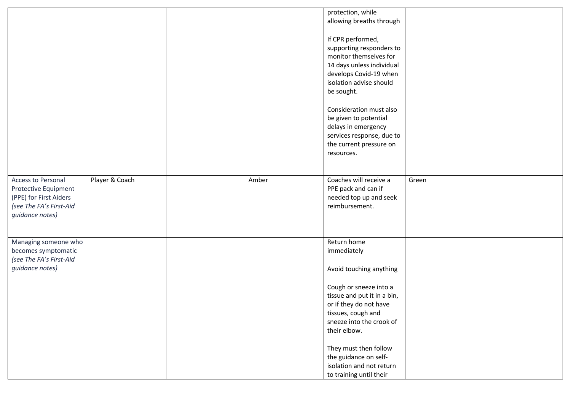|                                                                                                                    |                |       | protection, while<br>allowing breaths through<br>If CPR performed,<br>supporting responders to<br>monitor themselves for<br>14 days unless individual<br>develops Covid-19 when<br>isolation advise should<br>be sought.<br>Consideration must also<br>be given to potential<br>delays in emergency<br>services response, due to<br>the current pressure on<br>resources. |       |  |
|--------------------------------------------------------------------------------------------------------------------|----------------|-------|---------------------------------------------------------------------------------------------------------------------------------------------------------------------------------------------------------------------------------------------------------------------------------------------------------------------------------------------------------------------------|-------|--|
| Access to Personal<br>Protective Equipment<br>(PPE) for First Aiders<br>(see The FA's First-Aid<br>guidance notes) | Player & Coach | Amber | Coaches will receive a<br>PPE pack and can if<br>needed top up and seek<br>reimbursement.                                                                                                                                                                                                                                                                                 | Green |  |
| Managing someone who<br>becomes symptomatic<br>(see The FA's First-Aid<br>guidance notes)                          |                |       | Return home<br>immediately<br>Avoid touching anything<br>Cough or sneeze into a<br>tissue and put it in a bin,<br>or if they do not have<br>tissues, cough and<br>sneeze into the crook of<br>their elbow.<br>They must then follow<br>the guidance on self-<br>isolation and not return<br>to training until their                                                       |       |  |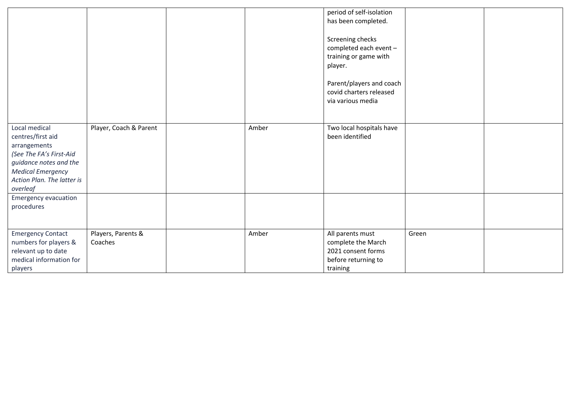|                                                                                                                                                                                                              |                               |       | period of self-isolation<br>has been completed.<br>Screening checks<br>completed each event -<br>training or game with<br>player.<br>Parent/players and coach<br>covid charters released<br>via various media |       |  |
|--------------------------------------------------------------------------------------------------------------------------------------------------------------------------------------------------------------|-------------------------------|-------|---------------------------------------------------------------------------------------------------------------------------------------------------------------------------------------------------------------|-------|--|
| Local medical<br>centres/first aid<br>arrangements<br>(See The FA's First-Aid<br>guidance notes and the<br><b>Medical Emergency</b><br>Action Plan. The latter is<br>overleaf<br><b>Emergency evacuation</b> | Player, Coach & Parent        | Amber | Two local hospitals have<br>been identified                                                                                                                                                                   |       |  |
| procedures                                                                                                                                                                                                   |                               |       |                                                                                                                                                                                                               |       |  |
| <b>Emergency Contact</b><br>numbers for players &<br>relevant up to date<br>medical information for<br>players                                                                                               | Players, Parents &<br>Coaches | Amber | All parents must<br>complete the March<br>2021 consent forms<br>before returning to<br>training                                                                                                               | Green |  |